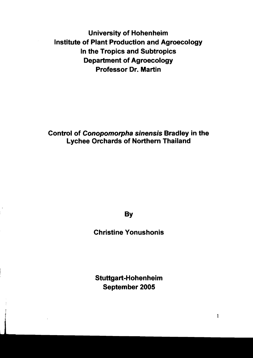University of Hohenheim Institute of Plant Production and Agroecology In the Tropics and Subtropics Department of Agroecology Professor Dr. Martin

Control of Conopomorpha sinensis Bradley in the Lychee Orchards of Northern Thailand

**By** 

Christine Yonushonis

Stuttgart-Hohenheim September 2005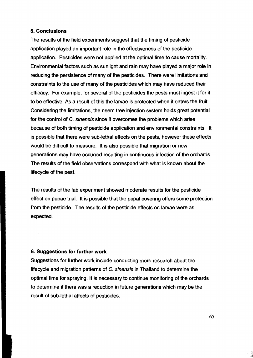## 5. **Conclusions**

The results of the fjeld experiments suggest that the timing of pesticide application played an important role in the effectiveness of the pesticide application. Pesticides were not applied at the optimat time to cause mortality. Environmental factors such as sunlight and rain may have played a major role in reducing the persistence of many of the pesticides. There were limitations and constraints to the use of many of the pesticides which may have reduced their efficacy. For example, for several of the pesticides the pests must ingest it for it to be effective. As a result of this the larvae is protected when it enters the fruit. Considering the limitations, the neem tree injection system holds great potential for the control of C. sinensis since it overcomes the problems which arise because of both timing of pesticide application and environmental constraints. It is possible that there were sub-Iethat effects on the pests, however these effects would be difficult to measure. It is also possible that migration or new generations may have occurred resulting in continuous infection of the orchards. The results of the fjeld observations correspond with what is known about the lifecycle of the pest.

The results of the lab experiment showed moderate results for the pesticide effect on pupae trial. It is possible that the pupal covering offers some protection from the pesticide. The results of the pesticide effects on larvae were as expected.

## 6. **Suggestions for further work**

Suggestions for further work include conducting more research about the lifecycle and migration patterns of C. sinensis in Thailand to determine the optimat time for spraying. It is necessary to continue monitoring of the orchards to determine if there was a reduction in future generations which may be the result of sub-Iethal affects of pesticides.